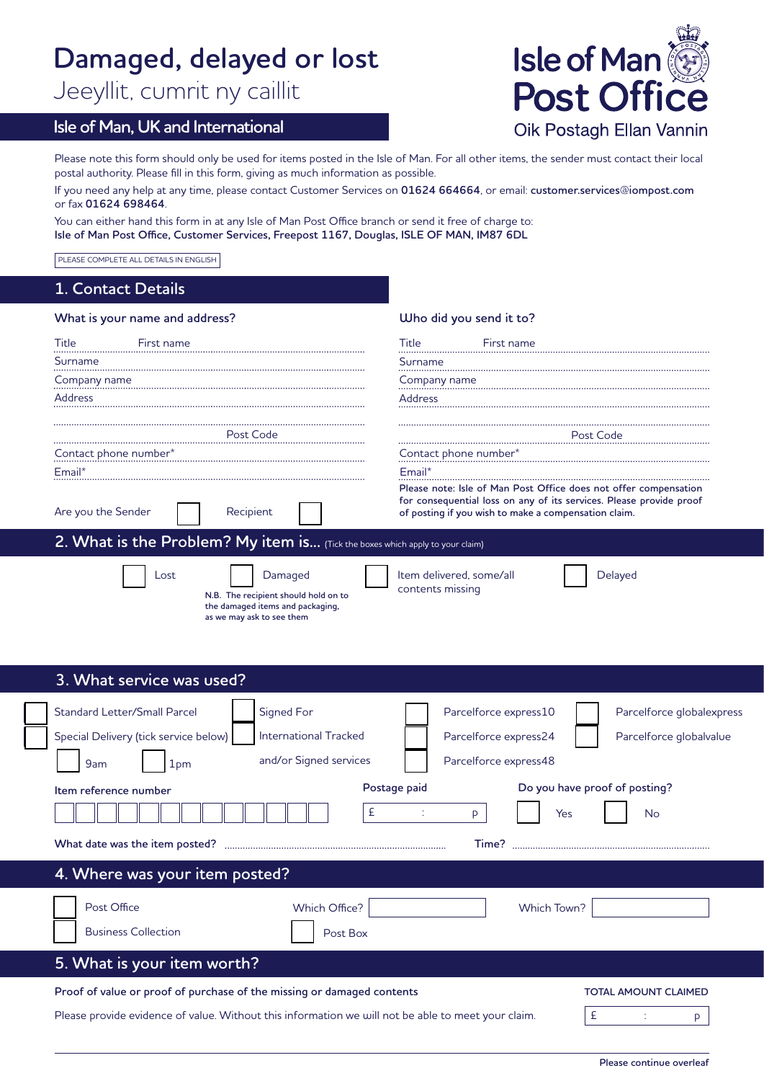# **Damaged, delayed or lost**

Jeeyllit, cumrit ny caillit

# **Isle of Man, UK and International**



Please note this form should only be used for items posted in the Isle of Man. For all other items, the sender must contact their local postal authority. Please fill in this form, giving as much information as possible.

If you need any help at any time, please contact Customer Services on **01624 664664**, or email: **customer.services@iompost.com** or fax **01624 698464**.

You can either hand this form in at any Isle of Man Post Office branch or send it free of charge to: **Isle of Man Post Office, Customer Services, Freepost 1167, Douglas, ISLE OF MAN, IM87 6DL**

PLEASE COMPLETE ALL DETAILS IN ENGLISH

## **1. Contact Details**

| What is your name and address?                                                                                           | Who did you send it to?                                                                                                                                                                                                                         |  |  |
|--------------------------------------------------------------------------------------------------------------------------|-------------------------------------------------------------------------------------------------------------------------------------------------------------------------------------------------------------------------------------------------|--|--|
| <b>Title</b><br>First name                                                                                               | Title<br>First name                                                                                                                                                                                                                             |  |  |
| Surname                                                                                                                  | Surname                                                                                                                                                                                                                                         |  |  |
| Company name                                                                                                             | Company name                                                                                                                                                                                                                                    |  |  |
| <b>Address</b>                                                                                                           | Address                                                                                                                                                                                                                                         |  |  |
| Post Code<br>Contact phone number*<br>Email*<br>Are you the Sender<br>Recipient                                          | Post Code<br>Contact phone number*<br>Email*<br>Please note: Isle of Man Post Office does not offer compensation<br>for consequential loss on any of its services. Please provide proof<br>of posting if you wish to make a compensation claim. |  |  |
| 2. What is the Problem? My item is (Tick the boxes which apply to your claim)                                            |                                                                                                                                                                                                                                                 |  |  |
| Damaged<br>Lost<br>N.B. The recipient should hold on to<br>the damaged items and packaging,<br>as we may ask to see them | Item delivered, some/all<br>Delayed<br>contents missing                                                                                                                                                                                         |  |  |
| 3. What service was used?                                                                                                |                                                                                                                                                                                                                                                 |  |  |
| <b>Standard Letter/Small Parcel</b><br>Signed For                                                                        | Parcelforce globalexpress<br>Parcelforce express10                                                                                                                                                                                              |  |  |
| <b>International Tracked</b><br>Special Delivery (tick service below)                                                    | Parcelforce globalvalue<br>Parcelforce express24                                                                                                                                                                                                |  |  |
| and/or Signed services                                                                                                   | Parcelforce express48                                                                                                                                                                                                                           |  |  |
| 9am<br>1 <sub>pm</sub>                                                                                                   |                                                                                                                                                                                                                                                 |  |  |
| ltem reference number                                                                                                    | Postage paid<br>Do you have proof of posting?                                                                                                                                                                                                   |  |  |
| £                                                                                                                        | P<br>Yes<br>No                                                                                                                                                                                                                                  |  |  |
|                                                                                                                          | Time?                                                                                                                                                                                                                                           |  |  |
| 4. Where was your item posted?                                                                                           |                                                                                                                                                                                                                                                 |  |  |
| Which Office?<br>Post Office                                                                                             | <b>Which Town?</b>                                                                                                                                                                                                                              |  |  |
|                                                                                                                          |                                                                                                                                                                                                                                                 |  |  |
| <b>Business Collection</b><br>Post Box                                                                                   |                                                                                                                                                                                                                                                 |  |  |
| 5. What is your item worth?                                                                                              |                                                                                                                                                                                                                                                 |  |  |

**Proof of value or proof of purchase of the missing or damaged contents** 

Please provide evidence of value. Without this information we will not be able to meet your claim.  $\mathsf{E}$   $\mathsf{E}$  : p

**TOTAL AMOUNT CLAIMED**

**Please continue overleaf**